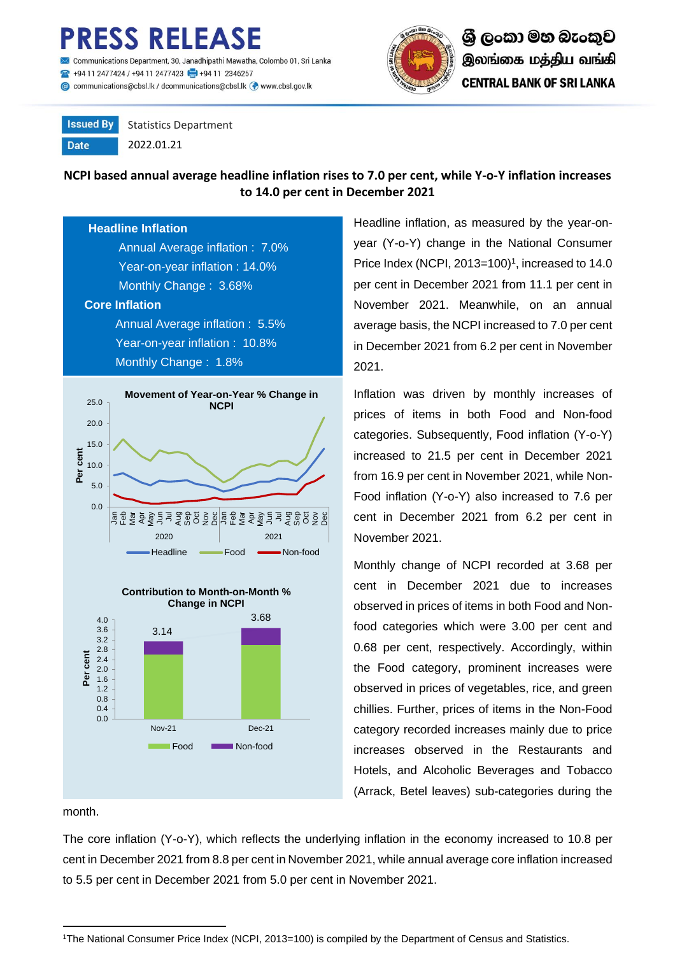# **ESS RELEASE**

iications Department, 30, Janadhipathi Mawatha, Colombo 01, Sri Lanka 494 11 2477424 / +94 11 2477423 +494 11 2346257

Communications@cbsl.lk / dcommunications@cbsl.lk <a>
www.cbsl.gov.lk</a>
k



**Issued By** Statistics Department

**Date** 

2022.01.21

## **NCPI based annual average headline inflation rises to 7.0 per cent, while Y-o-Y inflation increases to 14.0 per cent in December 2021**

#### **Headline Inflation**

 Annual Average inflation : 7.0% Year-on-year inflation : 14.0% Monthly Change : 3.68%

#### **Core Inflation**

Annual Average inflation : 5.5% Year-on-year inflation : 10.8% Monthly Change : 1.8%





month.

The core inflation (Y-o-Y), which reflects the underlying inflation in the economy increased to 10.8 per cent in December 2021 from 8.8 per cent in November 2021, while annual average core inflation increased to 5.5 per cent in December 2021 from 5.0 per cent in November 2021.

<sup>1</sup>The National Consumer Price Index (NCPI, 2013=100) is compiled by the Department of Census and Statistics.

Headline inflation, as measured by the year-onyear (Y-o-Y) change in the National Consumer Price Index (NCPI, 2013=100) $<sup>1</sup>$ , increased to 14.0</sup> per cent in December 2021 from 11.1 per cent in November 2021. Meanwhile, on an annual average basis, the NCPI increased to 7.0 per cent in December 2021 from 6.2 per cent in November 2021.

Inflation was driven by monthly increases of prices of items in both Food and Non-food categories. Subsequently, Food inflation (Y-o-Y) increased to 21.5 per cent in December 2021 from 16.9 per cent in November 2021, while Non-Food inflation (Y-o-Y) also increased to 7.6 per cent in December 2021 from 6.2 per cent in November 2021.

Monthly change of NCPI recorded at 3.68 per cent in December 2021 due to increases observed in prices of items in both Food and Nonfood categories which were 3.00 per cent and 0.68 per cent, respectively. Accordingly, within the Food category, prominent increases were observed in prices of vegetables, rice, and green chillies. Further, prices of items in the Non-Food category recorded increases mainly due to price increases observed in the Restaurants and Hotels, and Alcoholic Beverages and Tobacco (Arrack, Betel leaves) sub-categories during the